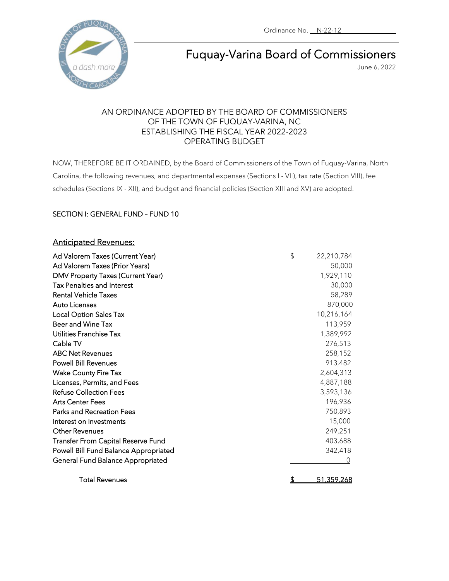

Fuquay-Varina Board of Commissioners

June 6, 2022

## AN ORDINANCE ADOPTED BY THE BOARD OF COMMISSIONERS OF THE TOWN OF FUQUAY-VARINA, NC ESTABLISHING THE FISCAL YEAR 2022-2023 OPERATING BUDGET

NOW, THEREFORE BE IT ORDAINED, by the Board of Commissioners of the Town of Fuquay-Varina, North Carolina, the following revenues, and departmental expenses (Sections I - VII), tax rate (Section VIII), fee schedules (Sections IX - XII), and budget and financial policies (Section XIII and XV) are adopted.

## SECTION I: GENERAL FUND - FUND 10

### Anticipated Revenues:

| Ad Valorem Taxes (Current Year)       | \$      | 22,210,784       |
|---------------------------------------|---------|------------------|
| Ad Valorem Taxes (Prior Years)        |         | 50,000           |
| DMV Property Taxes (Current Year)     |         | 1,929,110        |
| Tax Penalties and Interest            |         | 30,000           |
| <b>Rental Vehicle Taxes</b>           |         | 58,289           |
| Auto Licenses                         |         | 870,000          |
| Local Option Sales Tax                |         | 10,216,164       |
| Beer and Wine Tax                     |         | 113,959          |
| Utilities Franchise Tax               |         | 1,389,992        |
| Cable TV                              |         | 276,513          |
| <b>ABC Net Revenues</b>               |         | 258,152          |
| <b>Powell Bill Revenues</b>           |         | 913,482          |
| <b>Wake County Fire Tax</b>           |         | 2,604,313        |
| Licenses, Permits, and Fees           |         | 4,887,188        |
| <b>Refuse Collection Fees</b>         |         | 3,593,136        |
| <b>Arts Center Fees</b>               |         | 196,936          |
| <b>Parks and Recreation Fees</b>      |         | 750,893          |
| Interest on Investments               |         | 15,000           |
| <b>Other Revenues</b>                 |         | 249,251          |
| Transfer From Capital Reserve Fund    |         | 403,688          |
| Powell Bill Fund Balance Appropriated | 342,418 |                  |
| General Fund Balance Appropriated     |         | $\left( \right)$ |
| <b>Total Revenues</b>                 |         | 51.359.268       |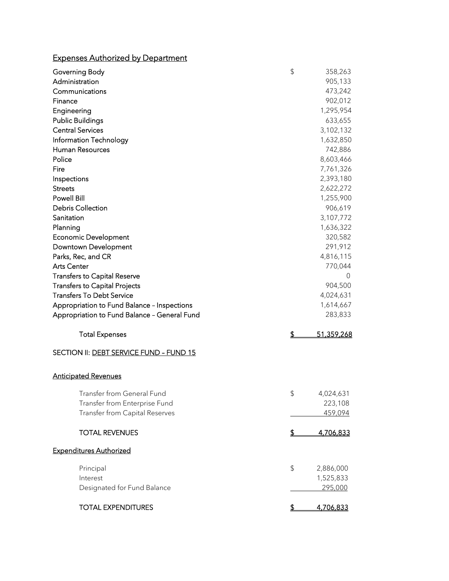# Expenses Authorized by Department

| Governing Body                               | \$<br>358,263           |
|----------------------------------------------|-------------------------|
| Administration                               | 905,133                 |
| Communications                               | 473,242                 |
| Finance                                      | 902,012                 |
| Engineering                                  | 1,295,954               |
| <b>Public Buildings</b>                      | 633,655                 |
| <b>Central Services</b>                      | 3,102,132               |
| Information Technology                       | 1,632,850               |
| Human Resources                              | 742,886                 |
| Police                                       | 8,603,466               |
| Fire                                         | 7,761,326               |
| Inspections                                  | 2,393,180               |
| <b>Streets</b>                               | 2,622,272               |
| <b>Powell Bill</b>                           | 1,255,900               |
| <b>Debris Collection</b>                     | 906,619                 |
| Sanitation                                   | 3,107,772               |
| Planning                                     | 1,636,322               |
| <b>Economic Development</b>                  | 320,582                 |
| Downtown Development                         | 291,912                 |
| Parks, Rec, and CR                           | 4,816,115               |
| <b>Arts Center</b>                           | 770,044                 |
| <b>Transfers to Capital Reserve</b>          | $\left( \right)$        |
| <b>Transfers to Capital Projects</b>         | 904,500                 |
| <b>Transfers To Debt Service</b>             | 4,024,631               |
| Appropriation to Fund Balance - Inspections  | 1,614,667               |
| Appropriation to Fund Balance - General Fund | 283,833                 |
| <b>Total Expenses</b>                        | \$<br>51,359,268        |
| SECTION II: DEBT SERVICE FUND - FUND 15      |                         |
| <b>Anticipated Revenues</b>                  |                         |
| Transfer from General Fund                   | \$<br>4,024,631         |
| Transfer from Enterprise Fund                | 223,108                 |
| Transfer from Capital Reserves               | 459,094                 |
|                                              |                         |
| <b>TOTAL REVENUES</b>                        | \$<br>4,706,833         |
| <b>Expenditures Authorized</b>               |                         |
| Principal                                    | $\sqrt{2}$<br>2,886,000 |
| Interest                                     | 1,525,833               |
| Designated for Fund Balance                  | 295,000                 |
| <b>TOTAL EXPENDITURES</b>                    | \$<br><u>4,706,833</u>  |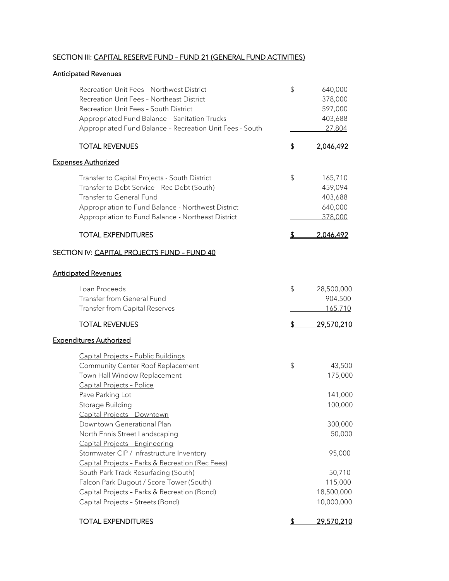## SECTION III: CAPITAL RESERVE FUND - FUND 21 (GENERAL FUND ACTIVITIES)

## Anticipated Revenues

| Recreation Unit Fees - Northwest District<br>Recreation Unit Fees - Northeast District<br>Recreation Unit Fees - South District<br>Appropriated Fund Balance - Sanitation Trucks<br>Appropriated Fund Balance - Recreation Unit Fees - South | \$<br>640,000<br>378,000<br>597,000<br>403,688<br>27,804  |
|----------------------------------------------------------------------------------------------------------------------------------------------------------------------------------------------------------------------------------------------|-----------------------------------------------------------|
| <b>TOTAL REVENUES</b>                                                                                                                                                                                                                        | \$<br><u>2,046,492</u>                                    |
| <b>Expenses Authorized</b>                                                                                                                                                                                                                   |                                                           |
| Transfer to Capital Projects - South District<br>Transfer to Debt Service - Rec Debt (South)<br><b>Transfer to General Fund</b><br>Appropriation to Fund Balance - Northwest District<br>Appropriation to Fund Balance - Northeast District  | \$<br>165,710<br>459,094<br>403,688<br>640,000<br>378,000 |
| <b>TOTAL EXPENDITURES</b>                                                                                                                                                                                                                    | \$<br>2,046,492                                           |
| SECTION IV: CAPITAL PROJECTS FUND - FUND 40                                                                                                                                                                                                  |                                                           |
| <b>Anticipated Revenues</b>                                                                                                                                                                                                                  |                                                           |
| Loan Proceeds<br>Transfer from General Fund<br><b>Transfer from Capital Reserves</b>                                                                                                                                                         | \$<br>28,500,000<br>904,500<br>165,710                    |
| <b>TOTAL REVENUES</b>                                                                                                                                                                                                                        | \$<br>29,570,210                                          |
| <b>Expenditures Authorized</b>                                                                                                                                                                                                               |                                                           |
| Capital Projects - Public Buildings<br>Community Center Roof Replacement<br>Town Hall Window Replacement<br>Capital Projects - Police                                                                                                        | \$<br>43,500<br>175,000                                   |
| Pave Parking Lot<br>Storage Building<br>Capital Projects - Downtown                                                                                                                                                                          | 141,000<br>100,000                                        |
| Downtown Generational Plan<br>North Ennis Street Landscaping<br>Capital Projects - Engineering                                                                                                                                               | 300,000<br>50,000                                         |
| Stormwater CIP / Infrastructure Inventory                                                                                                                                                                                                    | 95,000                                                    |
| Capital Projects - Parks & Recreation (Rec Fees)<br>South Park Track Resurfacing (South)<br>Falcon Park Dugout / Score Tower (South)<br>Capital Projects - Parks & Recreation (Bond)<br>Capital Projects - Streets (Bond)                    | 50,710<br>115,000<br>18,500,000<br>10,000,000             |
| <b>TOTAL EXPENDITURES</b>                                                                                                                                                                                                                    | <u>29,570,210</u>                                         |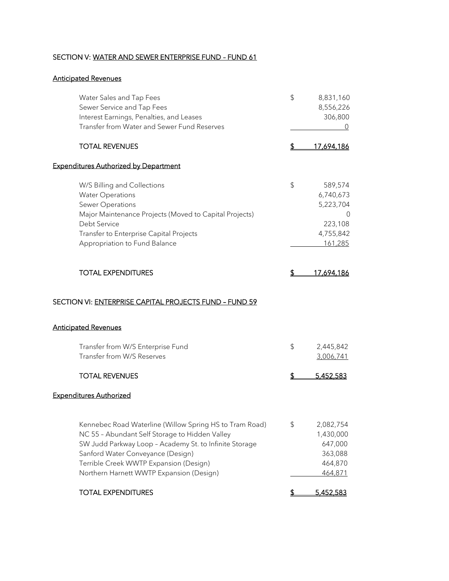## SECTION V: WATER AND SEWER ENTERPRISE FUND - FUND 61

## Anticipated Revenues

| Water Sales and Tap Fees                                | \$ | 8,831,160         |
|---------------------------------------------------------|----|-------------------|
| Sewer Service and Tap Fees                              |    | 8,556,226         |
| Interest Earnings, Penalties, and Leases                |    | 306,800           |
| Transfer from Water and Sewer Fund Reserves             |    | $\theta$          |
| <b>TOTAL REVENUES</b>                                   | \$ | <u>17,694,186</u> |
| <b>Expenditures Authorized by Department</b>            |    |                   |
| W/S Billing and Collections                             | \$ | 589,574           |
| <b>Water Operations</b>                                 |    | 6,740,673         |
| Sewer Operations                                        |    | 5,223,704         |
| Major Maintenance Projects (Moved to Capital Projects)  |    |                   |
| Debt Service                                            |    | 223,108           |
| Transfer to Enterprise Capital Projects                 |    | 4,755,842         |
| Appropriation to Fund Balance                           |    | 161,285           |
| <b>TOTAL EXPENDITURES</b>                               | \$ | <u>17,694,186</u> |
| SECTION VI: ENTERPRISE CAPITAL PROJECTS FUND - FUND 59  |    |                   |
| <b>Anticipated Revenues</b>                             |    |                   |
| Transfer from W/S Enterprise Fund                       | \$ | 2,445,842         |
| Transfer from W/S Reserves                              |    | 3,006,741         |
| <b>TOTAL REVENUES</b>                                   | S  | 5,452,583         |
| <b>Expenditures Authorized</b>                          |    |                   |
|                                                         |    |                   |
| Kennebec Road Waterline (Willow Spring HS to Tram Road) | \$ | 2,082,754         |
| NC 55 - Abundant Self Storage to Hidden Valley          |    | 1,430,000         |
| SW Judd Parkway Loop - Academy St. to Infinite Storage  |    | 647,000           |
| Sanford Water Conveyance (Design)                       |    | 363,088           |
| Terrible Creek WWTP Expansion (Design)                  |    | 464,870           |
| Northern Harnett WWTP Expansion (Design)                |    | 464,871           |
| <b>TOTAL EXPENDITURES</b>                               | S  | 5,452,583         |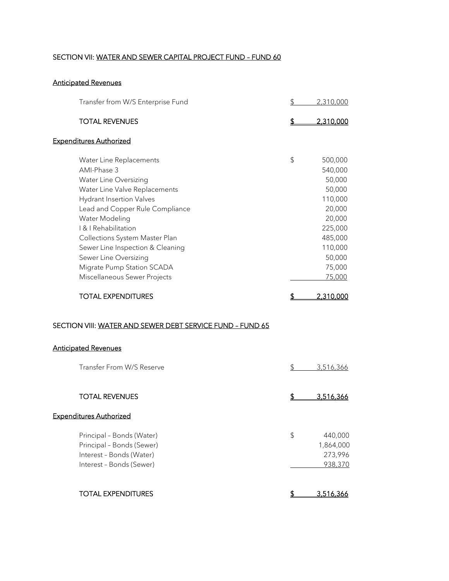## SECTION VII: WATER AND SEWER CAPITAL PROJECT FUND - FUND 60

## Anticipated Revenues

| Transfer from W/S Enterprise Fund                                                                                                                                                                                                                                                                                                                                             | \$<br>2,310,000                                                                                                                            |
|-------------------------------------------------------------------------------------------------------------------------------------------------------------------------------------------------------------------------------------------------------------------------------------------------------------------------------------------------------------------------------|--------------------------------------------------------------------------------------------------------------------------------------------|
| <b>TOTAL REVENUES</b>                                                                                                                                                                                                                                                                                                                                                         | \$<br>2,310,000                                                                                                                            |
| <b>Expenditures Authorized</b>                                                                                                                                                                                                                                                                                                                                                |                                                                                                                                            |
| Water Line Replacements<br>AMI-Phase 3<br>Water Line Oversizing<br>Water Line Valve Replacements<br><b>Hydrant Insertion Valves</b><br>Lead and Copper Rule Compliance<br>Water Modeling<br>I & I Rehabilitation<br>Collections System Master Plan<br>Sewer Line Inspection & Cleaning<br>Sewer Line Oversizing<br>Migrate Pump Station SCADA<br>Miscellaneous Sewer Projects | \$<br>500,000<br>540,000<br>50,000<br>50,000<br>110,000<br>20,000<br>20,000<br>225,000<br>485,000<br>110,000<br>50,000<br>75,000<br>75,000 |
| <b>TOTAL EXPENDITURES</b>                                                                                                                                                                                                                                                                                                                                                     | \$<br>2,310,000                                                                                                                            |
| SECTION VIII: WATER AND SEWER DEBT SERVICE FUND - FUND 65                                                                                                                                                                                                                                                                                                                     |                                                                                                                                            |
| <b>Anticipated Revenues</b>                                                                                                                                                                                                                                                                                                                                                   |                                                                                                                                            |
| Transfer From W/S Reserve                                                                                                                                                                                                                                                                                                                                                     | \$<br>3,516,366                                                                                                                            |
| <b>TOTAL REVENUES</b>                                                                                                                                                                                                                                                                                                                                                         | \$<br>3,516,366                                                                                                                            |
| <b>Expenditures Authorized</b>                                                                                                                                                                                                                                                                                                                                                |                                                                                                                                            |
| Principal - Bonds (Water)<br>Principal - Bonds (Sewer)<br>Interest - Bonds (Water)<br>Interest - Bonds (Sewer)                                                                                                                                                                                                                                                                | \$<br>440,000<br>1,864,000<br>273,996<br>938,370                                                                                           |
| <b>TOTAL EXPENDITURES</b>                                                                                                                                                                                                                                                                                                                                                     | \$<br>3,516,366                                                                                                                            |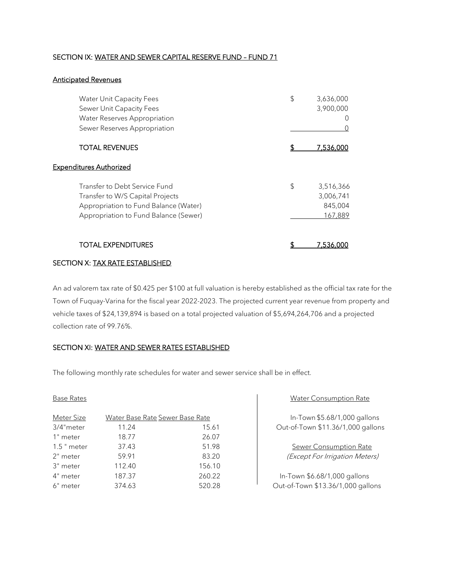#### SECTION IX: WATER AND SEWER CAPITAL RESERVE FUND – FUND 71

#### Anticipated Revenues

| <b>Water Unit Capacity Fees</b><br>Sewer Unit Capacity Fees<br>Water Reserves Appropriation<br>Sewer Reserves Appropriation                         | \$<br>3,636,000<br>3,900,000 |                                              |
|-----------------------------------------------------------------------------------------------------------------------------------------------------|------------------------------|----------------------------------------------|
| <b>TOTAL REVENUES</b>                                                                                                                               | 7,536,000                    |                                              |
| <b>Expenditures Authorized</b>                                                                                                                      |                              |                                              |
| Transfer to Debt Service Fund<br>Transfer to W/S Capital Projects<br>Appropriation to Fund Balance (Water)<br>Appropriation to Fund Balance (Sewer) | \$                           | 3,516,366<br>3,006,741<br>845,004<br>167,889 |
| TOTAL EXPENDITURES                                                                                                                                  | 536. ا                       |                                              |

#### SECTION X: TAX RATE ESTABLISHED

An ad valorem tax rate of \$0.425 per \$100 at full valuation is hereby established as the official tax rate for the Town of Fuquay-Varina for the fiscal year 2022-2023. The projected current year revenue from property and vehicle taxes of \$24,139,894 is based on a total projected valuation of \$5,694,264,706 and a projected collection rate of 99.76%.

#### SECTION XI: WATER AND SEWER RATES ESTABLISHED

The following monthly rate schedules for water and sewer service shall be in effect.

| Meter Size    | <b>Water Base Rate Sewer Base Rate</b> |        |
|---------------|----------------------------------------|--------|
| 3/4"meter     | 11.24                                  | 15.61  |
| 1" meter      | 18.77                                  | 26.07  |
| $1.5$ " meter | 37.43                                  | 51.98  |
| 2" meter      | 59.91                                  | 83.20  |
| 3" meter      | 112.40                                 | 156.10 |
| 4" meter      | 187.37                                 | 260.22 |
| 6" meter      | 374.63                                 | 520.28 |

#### Base Rates Water Consumption Rate

In-Town \$5.68/1,000 gallons Out-of-Town \$11.36/1,000 gallons

> Sewer Consumption Rate (Except For Irrigation Meters)

In-Town \$6.68/1,000 gallons Out-of-Town \$13.36/1,000 gallons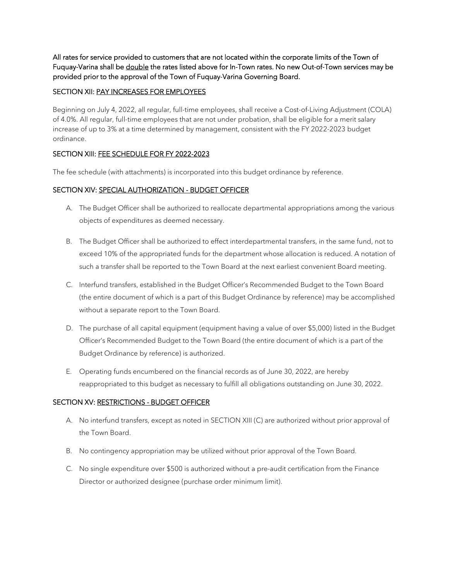All rates for service provided to customers that are not located within the corporate limits of the Town of Fuquay-Varina shall be double the rates listed above for In-Town rates. No new Out-of-Town services may be provided prior to the approval of the Town of Fuquay-Varina Governing Board.

#### SECTION XII: PAY INCREASES FOR EMPLOYEES

Beginning on July 4, 2022, all regular, full-time employees, shall receive a Cost-of-Living Adjustment (COLA) of 4.0%. All regular, full-time employees that are not under probation, shall be eligible for a merit salary increase of up to 3% at a time determined by management, consistent with the FY 2022-2023 budget ordinance.

#### SECTION XIII: FEE SCHEDULE FOR FY 2022-2023

The fee schedule (with attachments) is incorporated into this budget ordinance by reference.

### SECTION XIV: SPECIAL AUTHORIZATION - BUDGET OFFICER

- A. The Budget Officer shall be authorized to reallocate departmental appropriations among the various objects of expenditures as deemed necessary.
- B. The Budget Officer shall be authorized to effect interdepartmental transfers, in the same fund, not to exceed 10% of the appropriated funds for the department whose allocation is reduced. A notation of such a transfer shall be reported to the Town Board at the next earliest convenient Board meeting.
- C. Interfund transfers, established in the Budget Officer's Recommended Budget to the Town Board (the entire document of which is a part of this Budget Ordinance by reference) may be accomplished without a separate report to the Town Board.
- D. The purchase of all capital equipment (equipment having a value of over \$5,000) listed in the Budget Officer's Recommended Budget to the Town Board (the entire document of which is a part of the Budget Ordinance by reference) is authorized.
- E. Operating funds encumbered on the financial records as of June 30, 2022, are hereby reappropriated to this budget as necessary to fulfill all obligations outstanding on June 30, 2022.

#### SECTION XV: RESTRICTIONS - BUDGET OFFICER

- A. No interfund transfers, except as noted in SECTION XIII (C) are authorized without prior approval of the Town Board.
- B. No contingency appropriation may be utilized without prior approval of the Town Board.
- C. No single expenditure over \$500 is authorized without a pre-audit certification from the Finance Director or authorized designee (purchase order minimum limit).